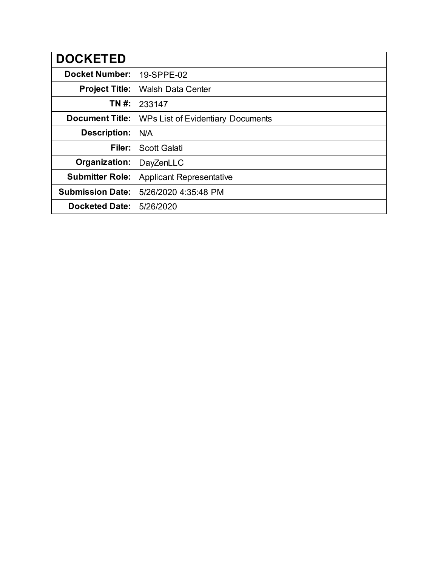| <b>DOCKETED</b>         |                                          |
|-------------------------|------------------------------------------|
| <b>Docket Number:</b>   | 19-SPPE-02                               |
| <b>Project Title:</b>   | <b>Walsh Data Center</b>                 |
| TN #:                   | 233147                                   |
| <b>Document Title:</b>  | <b>WPs List of Evidentiary Documents</b> |
| <b>Description:</b>     | N/A                                      |
| Filer:                  | <b>Scott Galati</b>                      |
| Organization:           | DayZenLLC                                |
| <b>Submitter Role:</b>  | <b>Applicant Representative</b>          |
| <b>Submission Date:</b> | 5/26/2020 4:35:48 PM                     |
| <b>Docketed Date:</b>   | 5/26/2020                                |